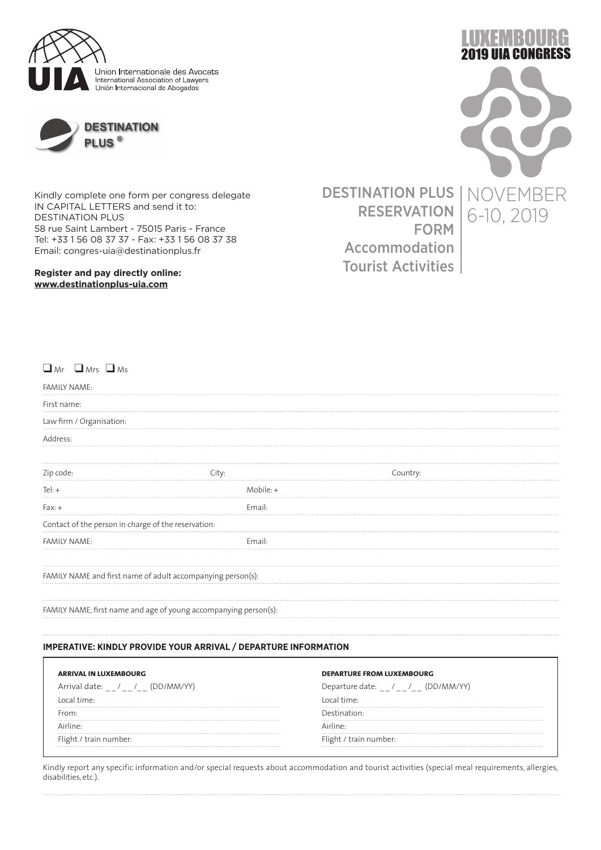



Kindly complete one form per congress delegate IN CAPITAL LETTERS and send it to: DESTINATION PLUS 58 rue Saint Lambert - 75015 Paris - France Tel: +33 1 56 08 37 37 - Fax: +33 1 56 08 37 38 Email: congres-uia@destinationplus.fr

**Register and pay directly online: www.destinationplus-uia.com**

FORM NOVEMBER 6-10, 2019

**19 UIA CONGRESS** 

DESTINATION PLUS RESERVATION Accommodation Tourist Activities

 $\Box$  Mrs  $\Box$  Ms

| <b>FAMILY NAME:</b>                                 |                                                                  |          |
|-----------------------------------------------------|------------------------------------------------------------------|----------|
| First name:                                         |                                                                  |          |
| Law firm / Organisation:                            |                                                                  |          |
| Address:                                            |                                                                  |          |
| Zip code:                                           | City:                                                            | Country: |
| $Tel: +$                                            | $M$ obile: $+$                                                   |          |
| $Fax: +$                                            | Email:                                                           |          |
| Contact of the person in charge of the reservation: |                                                                  |          |
| <b>FAMILY NAME:</b>                                 | Email:                                                           |          |
|                                                     | FAMILY NAME and first name of adult accompanying person(s):      |          |
|                                                     | FAMILY NAME, first name and age of young accompanying person(s): |          |

## **IMPERATIVE: KINDLY PROVIDE YOUR ARRIVAL / DEPARTURE INFORMATION**

| <b>ARRIVAL IN LUXEMBOURG</b>                 | <b>DEPARTURE FROM LUXEMBOURG</b>          |
|----------------------------------------------|-------------------------------------------|
| (DD/MM/YY'<br>Arrival date:<br>$\ell = \ell$ | (DD/MM/<br>.)enarture date:<br>$\sqrt{1}$ |
| . time :                                     | time.                                     |
|                                              | ıa†i∩n∙                                   |
|                                              |                                           |
| train number: .                              | i number:                                 |

Kindly report any specific information and/or special requests about accommodation and tourist activities (special meal requirements, allergies, disabilities, etc.).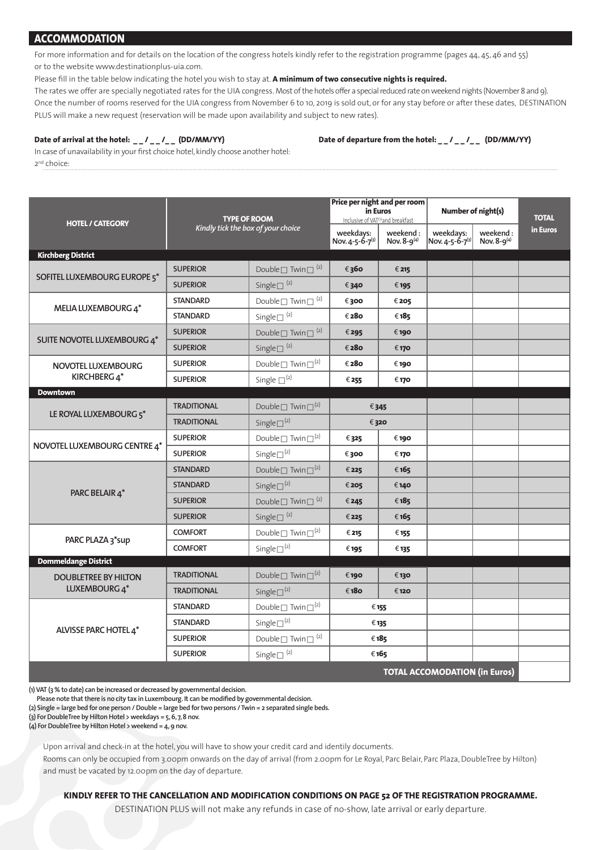# **ACCOMMODATION**

For more information and for details on the location of the congress hotels kindly refer to the registration programme (pages 44, 45, 46 and 55) or to the website www.destinationplus-uia.com.

Please fill in the table below indicating the hotel you wish to stay at. A minimum of two consecutive nights is required.

The rates we offer are specially negotiated rates for the UIA congress. Most of the hotels offer a special reduced rate on weekend nights (November 8 and 9). Once the number of rooms reserved for the UIA congress from November 6 to 10, 2019 is sold out, or for any stay before or after these dates, DESTINATION PLUS will make a new request (reservation will be made upon availability and subject to new rates).

Date of arrival at the hotel: \_\_/\_\_/\_\_ (DD/MM/YY) Date of departure from the hotel: \_\_/\_\_/\_\_ (DD/MM/YY)

In case of unavailability in your first choice hotel, kindly choose another hotel: 2nd choice:

|                                      | <b>TYPE OF ROOM</b><br>Kindly tick the box of your choice |                                          | Price per night and per room<br>in Euros<br>Inclusive of VAT <sup>(1)</sup> and breakfast |                                | Number of night(s)           |                                | <b>TOTAL</b> |
|--------------------------------------|-----------------------------------------------------------|------------------------------------------|-------------------------------------------------------------------------------------------|--------------------------------|------------------------------|--------------------------------|--------------|
| <b>HOTEL / CATEGORY</b>              |                                                           |                                          | weekdays:<br>Nov. 4-5-6-7(3)                                                              | weekend:<br>Nov. $8 - 9^{(4)}$ | weekdays:<br>Nov. 4-5-6-7(3) | weekend:<br>Nov. $8 - 9^{(4)}$ | in Euros     |
| <b>Kirchberg District</b>            |                                                           |                                          |                                                                                           |                                |                              |                                |              |
| SOFITEL LUXEMBOURG EUROPE 5*         | <b>SUPERIOR</b>                                           | Double $\Box$ Twin $\Box$ <sup>(2)</sup> | € 360                                                                                     | € 215                          |                              |                                |              |
|                                      | <b>SUPERIOR</b>                                           | Single $\square$ <sup>(2)</sup>          | €340                                                                                      | € 195                          |                              |                                |              |
| MELIA LUXEMBOURG 4*                  | <b>STANDARD</b>                                           | Double $\Box$ Twin $\Box$ <sup>(2)</sup> | €300                                                                                      | € 205                          |                              |                                |              |
|                                      | <b>STANDARD</b>                                           | Single $\square$ <sup>(2)</sup>          | € 280                                                                                     | € 185                          |                              |                                |              |
| SUITE NOVOTEL LUXEMBOURG 4*          | <b>SUPERIOR</b>                                           | Double $\Box$ Twin $\Box$ <sup>(2)</sup> | € 295                                                                                     | € 190                          |                              |                                |              |
|                                      | <b>SUPERIOR</b>                                           | Single $\square^{(2)}$                   | €280                                                                                      | € 170                          |                              |                                |              |
| NOVOTEL LUXEMBOURG                   | <b>SUPERIOR</b>                                           | Double $\square$ Twin $\square^{(2)}$    | €280                                                                                      | € 190                          |                              |                                |              |
| KIRCHBERG 4*                         | <b>SUPERIOR</b>                                           | Single $\square^{(2)}$                   | € 255                                                                                     | € 170                          |                              |                                |              |
| <b>Downtown</b>                      |                                                           |                                          |                                                                                           |                                |                              |                                |              |
| LE ROYAL LUXEMBOURG 5*               | <b>TRADITIONAL</b>                                        | Double $\Box$ Twin $\Box^{(2)}$          | €345                                                                                      |                                |                              |                                |              |
|                                      | <b>TRADITIONAL</b>                                        | Single $\square^{(2)}$                   | €320                                                                                      |                                |                              |                                |              |
| NOVOTEL LUXEMBOURG CENTRE 4*         | <b>SUPERIOR</b>                                           | Double $\Box$ Twin $\Box^{(2)}$          | €325                                                                                      | €190                           |                              |                                |              |
|                                      | <b>SUPERIOR</b>                                           | Single $\square^{(2)}$                   | €300                                                                                      | € 170                          |                              |                                |              |
|                                      | <b>STANDARD</b>                                           | Double $\Box$ Twin $\Box^{(2)}$          | € 225                                                                                     | €165                           |                              |                                |              |
| PARC BELAIR 4*                       | <b>STANDARD</b>                                           | Single $\square^{(2)}$                   | € 205                                                                                     | € 140                          |                              |                                |              |
|                                      | <b>SUPERIOR</b>                                           | Double $\Box$ Twin $\Box$ <sup>(2)</sup> | € 245                                                                                     | €185                           |                              |                                |              |
|                                      | <b>SUPERIOR</b>                                           | Single $\Box$ <sup>(2)</sup>             | € 225                                                                                     | €165                           |                              |                                |              |
| PARC PLAZA 3*sup                     | <b>COMFORT</b>                                            | Double $\Box$ Twin $\Box^{(2)}$          | € 215                                                                                     | € 155                          |                              |                                |              |
|                                      | <b>COMFORT</b>                                            | Single $\square^{(2)}$                   | € 195                                                                                     | € 135                          |                              |                                |              |
| <b>Dommeldange District</b>          |                                                           |                                          |                                                                                           |                                |                              |                                |              |
| <b>DOUBLETREE BY HILTON</b>          | <b>TRADITIONAL</b>                                        | Double $\square$ Twin $\square^{(2)}$    | € 190                                                                                     | € 130                          |                              |                                |              |
| LUXEMBOURG 4*                        | <b>TRADITIONAL</b>                                        | Single $\square^{(2)}$                   | €180                                                                                      | € 120                          |                              |                                |              |
|                                      | <b>STANDARD</b>                                           | Double $\square$ Twin $\square^{(2)}$    | € 155                                                                                     |                                |                              |                                |              |
| ALVISSE PARC HOTEL 4*                | <b>STANDARD</b>                                           | Single $\square^{(2)}$                   | € 135                                                                                     |                                |                              |                                |              |
|                                      | <b>SUPERIOR</b>                                           | Double $\square$ Twin $\square^{(2)}$    | € 185                                                                                     |                                |                              |                                |              |
|                                      | <b>SUPERIOR</b>                                           | Single $\square$ <sup>(2)</sup>          |                                                                                           | € 165                          |                              |                                |              |
| <b>TOTAL ACCOMODATION (in Euros)</b> |                                                           |                                          |                                                                                           |                                |                              |                                |              |

**(1) VAT (3 % to date) can be increased or decreased by governmental decision.**

Please note that there is no city tax in Luxembourg. It can be modified by governmental decision.

**(2) Single = large bed for one person / Double = large bed for two persons / Twin = 2 separated single beds.**

**(3) For DoubleTree by Hilton Hotel > weekdays = 5, 6, 7, 8 nov.**

**(4) For DoubleTree by Hilton Hotel > weekend = 4, 9 nov.**

Upon arrival and check-in at the hotel, you will have to show your credit card and identily documents.

Rooms can only be occupied from 3.00pm onwards on the day of arrival (from 2.00pm for Le Royal, Parc Belair, Parc Plaza, DoubleTree by Hilton) and must be vacated by 12.00pm on the day of departure.

## **KINDLY REFER TO THE CANCELLATION AND MODIFICATION CONDITIONS ON PAGE 52 OF THE REGISTRATION PROGRAMME.**

DESTINATION PLUS will not make any refunds in case of no-show, late arrival or early departure.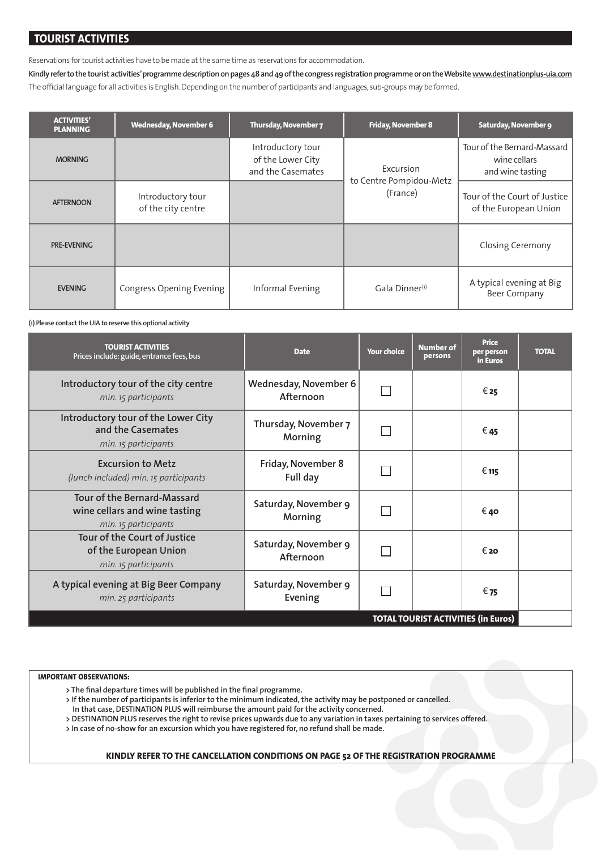# **TOURIST ACTIVITIES**

Reservations for tourist activities have to be made at the same time as reservations for accommodation.

**Kindly refer to the tourist activities' programme description on pages 48 and 49 of the congress registration programme or on the Website www.destinationplus-uia.com** The official language for all activities is English. Depending on the number of participants and languages, sub-groups may be formed.

| <b>ACTIVITIES'</b><br><b>PLANNING</b> | <b>Wednesday, November 6</b>            | Thursday, November 7                                        | <b>Friday, November 8</b>           | Saturday, November 9                                            |
|---------------------------------------|-----------------------------------------|-------------------------------------------------------------|-------------------------------------|-----------------------------------------------------------------|
| <b>MORNING</b>                        |                                         | Introductory tour<br>of the Lower City<br>and the Casemates | Excursion                           | Tour of the Bernard-Massard<br>wine cellars<br>and wine tasting |
| <b>AFTERNOON</b>                      | Introductory tour<br>of the city centre |                                                             | to Centre Pompidou-Metz<br>(France) | Tour of the Court of Justice<br>of the European Union           |
| PRE-EVENING                           |                                         |                                                             |                                     | <b>Closing Ceremony</b>                                         |
| <b>EVENING</b>                        | Congress Opening Evening                | Informal Evening                                            | Gala Dinner <sup>(1)</sup>          | A typical evening at Big<br><b>Beer Company</b>                 |

**(1) Please contact the UIA to reserve this optional activity**

| <b>TOURIST ACTIVITIES</b><br>Prices include: guide, entrance fees, bus                      | <b>Date</b>                                | <b>Your choice</b> | <b>Number of</b><br>persons | <b>Price</b><br>per person<br>in Euros | <b>TOTAL</b> |
|---------------------------------------------------------------------------------------------|--------------------------------------------|--------------------|-----------------------------|----------------------------------------|--------------|
| Introductory tour of the city centre<br>min. 15 participants                                | Wednesday, November 6<br>Afternoon         |                    |                             | € 25                                   |              |
| Introductory tour of the Lower City<br>and the Casemates<br>min. 15 participants            | Thursday, November 7<br>Morning            |                    |                             | € 45                                   |              |
| <b>Excursion to Metz</b><br>(lunch included) min. 15 participants                           | Friday, November 8<br>Full day             |                    |                             | $\epsilon$ 115                         |              |
| <b>Tour of the Bernard-Massard</b><br>wine cellars and wine tasting<br>min. 15 participants | Saturday, November 9<br>Morning            |                    |                             | € 40                                   |              |
| Tour of the Court of Justice<br>of the European Union<br>min. 15 participants               | Saturday, November 9<br>Afternoon          |                    |                             | € 20                                   |              |
| A typical evening at Big Beer Company<br>min. 25 participants                               | Saturday, November 9<br>Evening            |                    |                             | € 75                                   |              |
|                                                                                             | <b>TOTAL TOURIST ACTIVITIES (in Euros)</b> |                    |                             |                                        |              |

### **IMPORTANT OBSERVATIONS:**

> The final departure times will be published in the final programme.

 **> If the number of participants is inferior to the minimum indicated, the activity may be postponed or cancelled.** 

 **In that case, DESTINATION PLUS will reimburse the amount paid for the activity concerned.** 

 **> DESTINATION PLUS reserves the right to revise prices upwards due to any variation in taxes pertaining to services offered.** 

 **> In case of no-show for an excursion which you have registered for, no refund shall be made.** 

## **KINDLY REFER TO THE CANCELLATION CONDITIONS ON PAGE 52 OF THE REGISTRATION PROGRAMME**